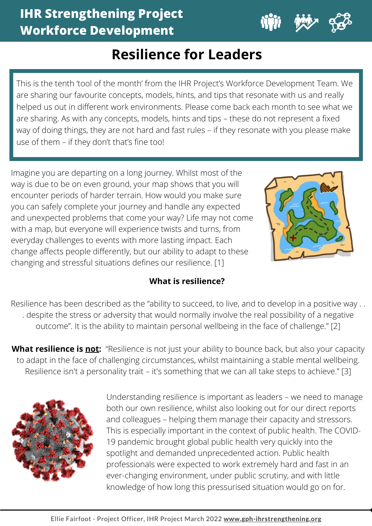

# **Resilience for Leaders**

This is the tenth 'tool of the month' from the IHR Project's Workforce Development Team. We are sharing our favourite concepts, models, hints, and tips that resonate with us and really helped us out in different work environments. Please come back each month to see what we are sharing. As with any concepts, models, hints and tips – these do not represent a fixed way of doing things, they are not hard and fast rules – if they resonate with you please make use of them – if they don't that's fine too!

Imagine you are departing on a long journey. Whilst most of the way is due to be on even ground, your map shows that you will encounter periods of harder terrain. How would you make sure you can safely complete your journey and handle any expected and unexpected problems that come your way? Life may not come with a map, but everyone will experience twists and turns, from everyday challenges to events with more lasting impact. Each change affects people differently, but our ability to adapt to these changing and stressful situations defines our resilience. [1]



**1**

# **What is resilience?**

Resilience has been described as the "ability to succeed, to live, and to develop in a positive way . . . despite the stress or adversity that would normally involve the real possibility of a negative outcome". It is the ability to maintain personal wellbeing in the face of challenge." [2]

**What resilience is not:** "Resilience is not just your ability to bounce back, but also your capacity to adapt in the face of challenging circumstances, whilst maintaining a stable mental wellbeing. Resilience isn't a personality trait – it's something that we can all take steps to achieve." [3]



Understanding resilience is important as leaders – we need to manage both our own resilience, whilst also looking out for our direct reports and colleagues – helping them manage their capacity and stressors. This is especially important in the context of public health. The COVID-19 pandemic brought global public health very quickly into the spotlight and demanded unprecedented action. Public health professionals were expected to work extremely hard and fast in an ever-changing environment, under public scrutiny, and with little knowledge of how long this pressurised situation would go on for.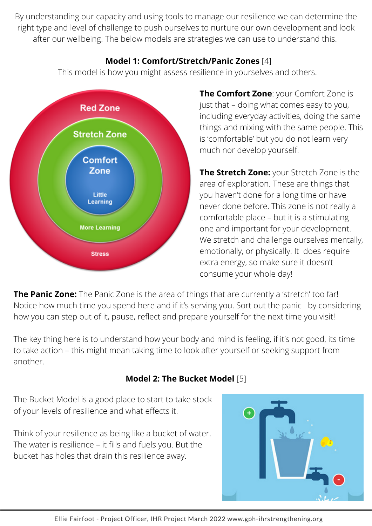By understanding our capacity and using tools to manage our resilience we can determine the right type and level of challenge to push ourselves to nurture our own development and look after our wellbeing. The below models are strategies we can use to understand this.

### **Model 1: Comfort/Stretch/Panic Zones** [4]

This model is how you might assess resilience in yourselves and others.



**The Comfort Zone**: your Comfort Zone is just that – doing what comes easy to you, including everyday activities, doing the same things and mixing with the same people. This is 'comfortable' but you do not learn very much nor develop yourself.

**The Stretch Zone:** your Stretch Zone is the area of exploration. These are things that you haven't done for a long time or have never done before. This zone is not really a comfortable place – but it is a stimulating one and important for your development. We stretch and challenge ourselves mentally, emotionally, or physically. It does require extra energy, so make sure it doesn't consume your whole day!

**The Panic Zone:** The Panic Zone is the area of things that are currently a 'stretch' too far! Notice how much time you spend here and if it's serving you. Sort out the panic by considering how you can step out of it, pause, reflect and prepare yourself for the next time you visit!

The key thing here is to understand how your body and mind is feeling, if it's not good, its time to take action – this might mean taking time to look after yourself or seeking support from another.

# **Model 2: The Bucket Model** [5]

The Bucket Model is a good place to start to take stock of your levels of resilience and what effects it.

Think of your resilience as being like a bucket of water. The water is resilience – it fills and fuels you. But the bucket has holes that drain this resilience away.

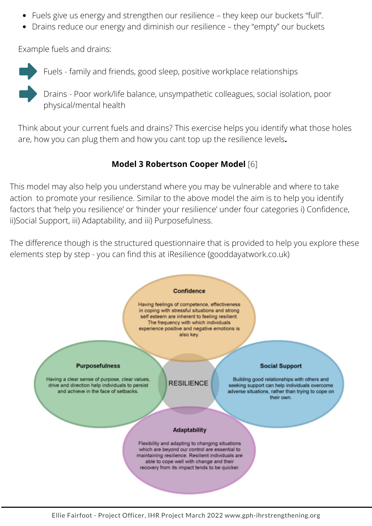- Fuels give us energy and strengthen our resilience they keep our buckets "full".
- Drains reduce our energy and diminish our resilience they "empty" our buckets

Example fuels and drains:



Fuels - family and friends, good sleep, positive workplace relationships

Drains - Poor work/life balance, unsympathetic colleagues, social isolation, poor physical/mental health

Think about your current fuels and drains? This exercise helps you identify what those holes are, how you can plug them and how you cant top up the resilience levels**.**

### **Model 3 Robertson Cooper Model** [6]

This model may also help you understand where you may be vulnerable and where to take action to promote your resilience. Similar to the above model the aim is to help you identify factors that 'help you resilience' or 'hinder your resilience' under four categories i) Confidence, ii)Social Support, iii) Adaptability, and iii) Purposefulness.

The difference though is the structured questionnaire that is provided to help you explore these elements step by step - you can find this at iResilience (gooddayatwork.co.uk)

#### **Confidence**

Having feelings of competence, effectiveness in coping with stressful situations and strong self esteem are inherent to feeling resilient. The frequency with which individuals experience positive and negative emotions is also key.

#### **Purposefulness**

Having a clear sense of purpose, clear values, drive and direction help individuals to persist and achieve in the face of setbacks.

**RESILIENCE** 

#### **Social Support**

Building good relationships with others and seeking support can help individuals overcome adverse situations, rather than trying to cope on their own.

#### Adaptability

Flexibility and adapting to changing situations which are beyond our control are essential to maintaining resilience. Resilient individuals are able to cope well with change and their recovery from its impact tends to be quicker.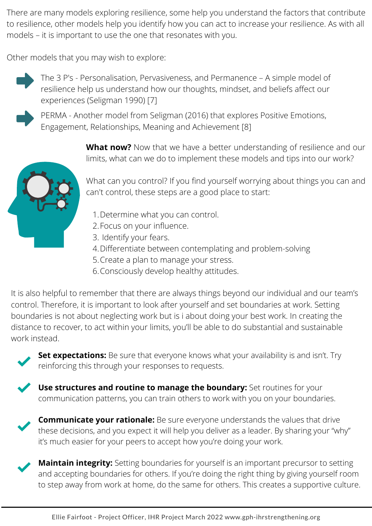There are many models exploring resilience, some help you understand the factors that contribute to resilience, other models help you identify how you can act to increase your resilience. As with all models – it is important to use the one that resonates with you.

Other models that you may wish to explore:



The 3 P's - Personalisation, Pervasiveness, and Permanence – A simple model of resilience help us understand how our thoughts, mindset, and beliefs affect our experiences (Seligman 1990) [7]



PERMA - Another model from Seligman (2016) that explores Positive Emotions, Engagement, Relationships, Meaning and Achievement [8]

> **What now?** Now that we have a better understanding of resilience and our limits, what can we do to implement these models and tips into our work?



What can you control? If you find yourself worrying about things you can and can't control, these steps are a good place to start:

- 1. Determine what you can control.
- Focus on your influence. 2.
- 3. Identify your fears.
- Differentiate between contemplating and problem-solving 4.
- 5. Create a plan to manage your stress.
- Consciously develop healthy attitudes. 6.

It is also helpful to remember that there are always things beyond our individual and our team's control. Therefore, it is important to look after yourself and set boundaries at work. Setting boundaries is not about neglecting work but is i about doing your best work. In creating the distance to recover, to act within your limits, you'll be able to do substantial and sustainable work instead.



**Set expectations:** Be sure that everyone knows what your availability is and isn't. Try reinforcing this through your responses to requests.

**Use structures and routine to manage the boundary:** Set routines for your communication patterns, you can train others to work with you on your boundaries.



**Communicate your rationale:** Be sure everyone understands the values that drive these decisions, and you expect it will help you deliver as a leader. By sharing your "why" it's much easier for your peers to accept how you're doing your work.

**Maintain integrity:** Setting boundaries for yourself is an important precursor to setting and accepting boundaries for others. If you're doing the right thing by giving yourself room to step away from work at home, do the same for others. This creates a supportive culture.